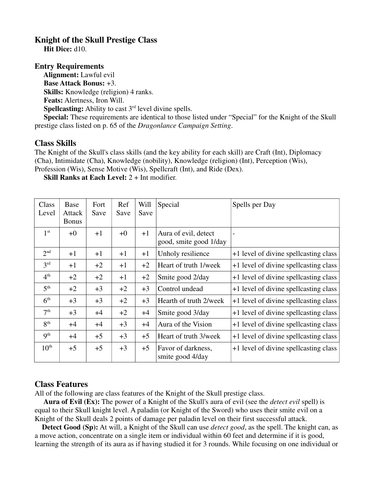## **Knight of the Skull Prestige Class**

 **Hit Dice:** d10.

## **Entry Requirements**

 **Alignment:** Lawful evil **Base Attack Bonus:** +3. **Skills:** Knowledge (religion) 4 ranks. **Feats:** Alertness, Iron Will. **Spellcasting:** Ability to cast 3<sup>rd</sup> level divine spells.

 **Special:** These requirements are identical to those listed under "Special" for the Knight of the Skull prestige class listed on p. 65 of the *Dragonlance Campaign Setting*.

## **Class Skills**

The Knight of the Skull's class skills (and the key ability for each skill) are Craft (Int), Diplomacy (Cha), Intimidate (Cha), Knowledge (nobility), Knowledge (religion) (Int), Perception (Wis), Profession (Wis), Sense Motive (Wis), Spellcraft (Int), and Ride (Dex).

**Skill Ranks at Each Level:** 2 + Int modifier.

| Class<br>Level   | Base<br>Attack<br><b>Bonus</b> | Fort<br>Save | Ref<br>Save | Will<br>Save | Special                                        | Spells per Day                        |
|------------------|--------------------------------|--------------|-------------|--------------|------------------------------------------------|---------------------------------------|
| 1 <sup>st</sup>  | $+0$                           | $+1$         | $+0$        | $+1$         | Aura of evil, detect<br>good, smite good 1/day |                                       |
| 2 <sup>nd</sup>  | $+1$                           | $+1$         | $+1$        | $+1$         | Unholy resilience                              | +1 level of divine spellcasting class |
| 3 <sup>rd</sup>  | $+1$                           | $+2$         | $+1$        | $+2$         | Heart of truth 1/week                          | +1 level of divine spellcasting class |
| 4 <sup>th</sup>  | $+2$                           | $+2$         | $+1$        | $+2$         | Smite good 2/day                               | +1 level of divine spellcasting class |
| 5 <sup>th</sup>  | $+2$                           | $+3$         | $+2$        | $+3$         | Control undead                                 | +1 level of divine spellcasting class |
| 6 <sup>th</sup>  | $+3$                           | $+3$         | $+2$        | $+3$         | Hearth of truth 2/week                         | +1 level of divine spellcasting class |
| 7 <sup>th</sup>  | $+3$                           | $+4$         | $+2$        | $+4$         | Smite good 3/day                               | +1 level of divine spellcasting class |
| 8 <sup>th</sup>  | $+4$                           | $+4$         | $+3$        | $+4$         | Aura of the Vision                             | +1 level of divine spellcasting class |
| 9 <sup>th</sup>  | $+4$                           | $+5$         | $+3$        | $+5$         | Heart of truth 3/week                          | +1 level of divine spellcasting class |
| $10^{\text{th}}$ | $+5$                           | $+5$         | $+3$        | $+5$         | Favor of darkness,<br>smite good 4/day         | +1 level of divine spellcasting class |

## **Class Features**

All of the following are class features of the Knight of the Skull prestige class.

 **Aura of Evil (Ex):** The power of a Knight of the Skull's aura of evil (see the *detect evil* spell) is equal to their Skull knight level. A paladin (or Knight of the Sword) who uses their smite evil on a Knight of the Skull deals 2 points of damage per paladin level on their first successful attack.

 **Detect Good (Sp):** At will, a Knight of the Skull can use *detect good*, as the spell. The knight can, as a move action, concentrate on a single item or individual within 60 feet and determine if it is good, learning the strength of its aura as if having studied it for 3 rounds. While focusing on one individual or